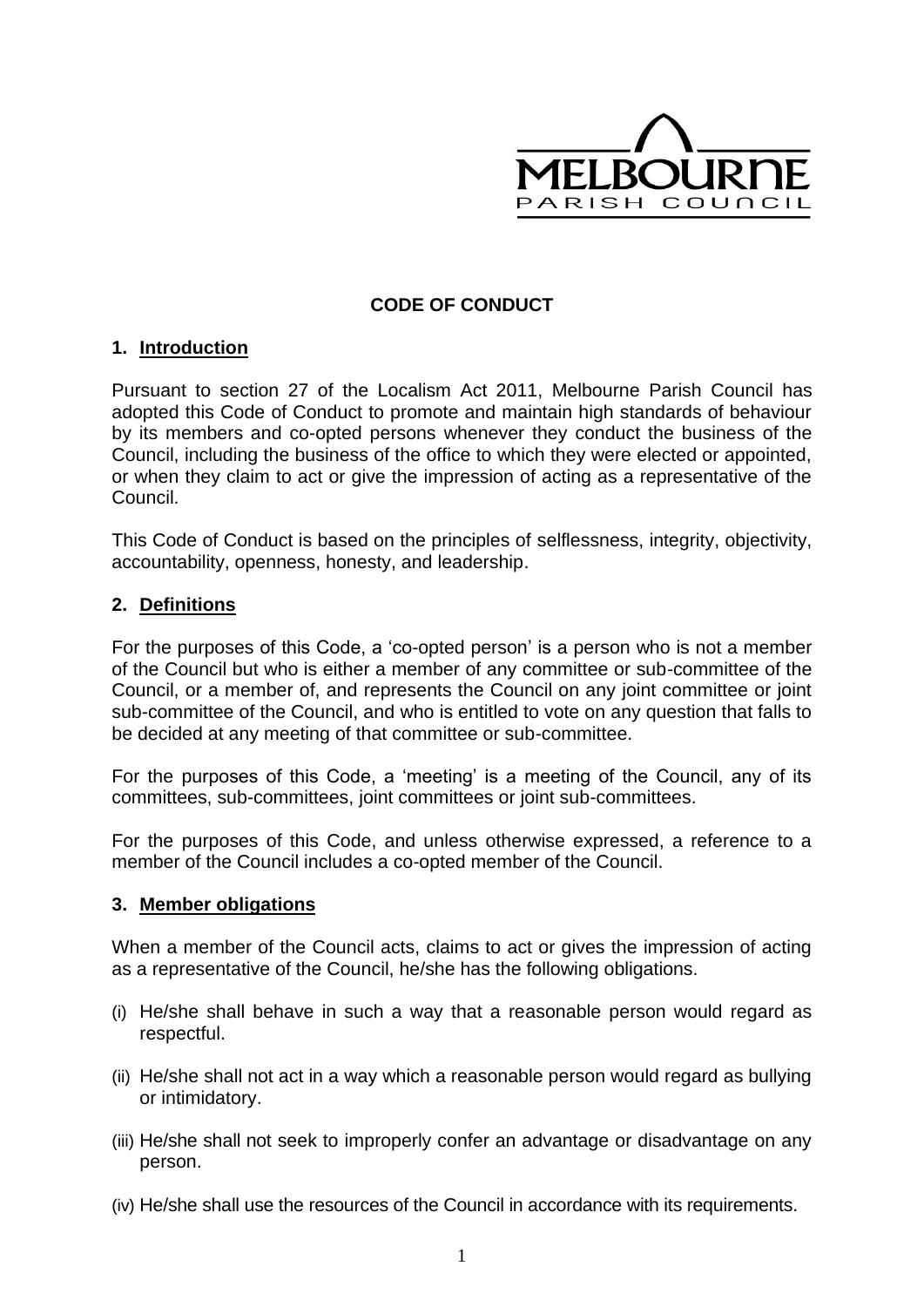

## **CODE OF CONDUCT**

#### **1. Introduction**

Pursuant to section 27 of the Localism Act 2011, Melbourne Parish Council has adopted this Code of Conduct to promote and maintain high standards of behaviour by its members and co-opted persons whenever they conduct the business of the Council, including the business of the office to which they were elected or appointed, or when they claim to act or give the impression of acting as a representative of the Council.

This Code of Conduct is based on the principles of selflessness, integrity, objectivity, accountability, openness, honesty, and leadership.

#### **2. Definitions**

For the purposes of this Code, a 'co-opted person' is a person who is not a member of the Council but who is either a member of any committee or sub-committee of the Council, or a member of, and represents the Council on any joint committee or joint sub-committee of the Council, and who is entitled to vote on any question that falls to be decided at any meeting of that committee or sub-committee.

For the purposes of this Code, a 'meeting' is a meeting of the Council, any of its committees, sub-committees, joint committees or joint sub-committees.

For the purposes of this Code, and unless otherwise expressed, a reference to a member of the Council includes a co-opted member of the Council.

#### **3. Member obligations**

When a member of the Council acts, claims to act or gives the impression of acting as a representative of the Council, he/she has the following obligations.

- (i) He/she shall behave in such a way that a reasonable person would regard as respectful.
- (ii) He/she shall not act in a way which a reasonable person would regard as bullying or intimidatory.
- (iii) He/she shall not seek to improperly confer an advantage or disadvantage on any person.
- (iv) He/she shall use the resources of the Council in accordance with its requirements.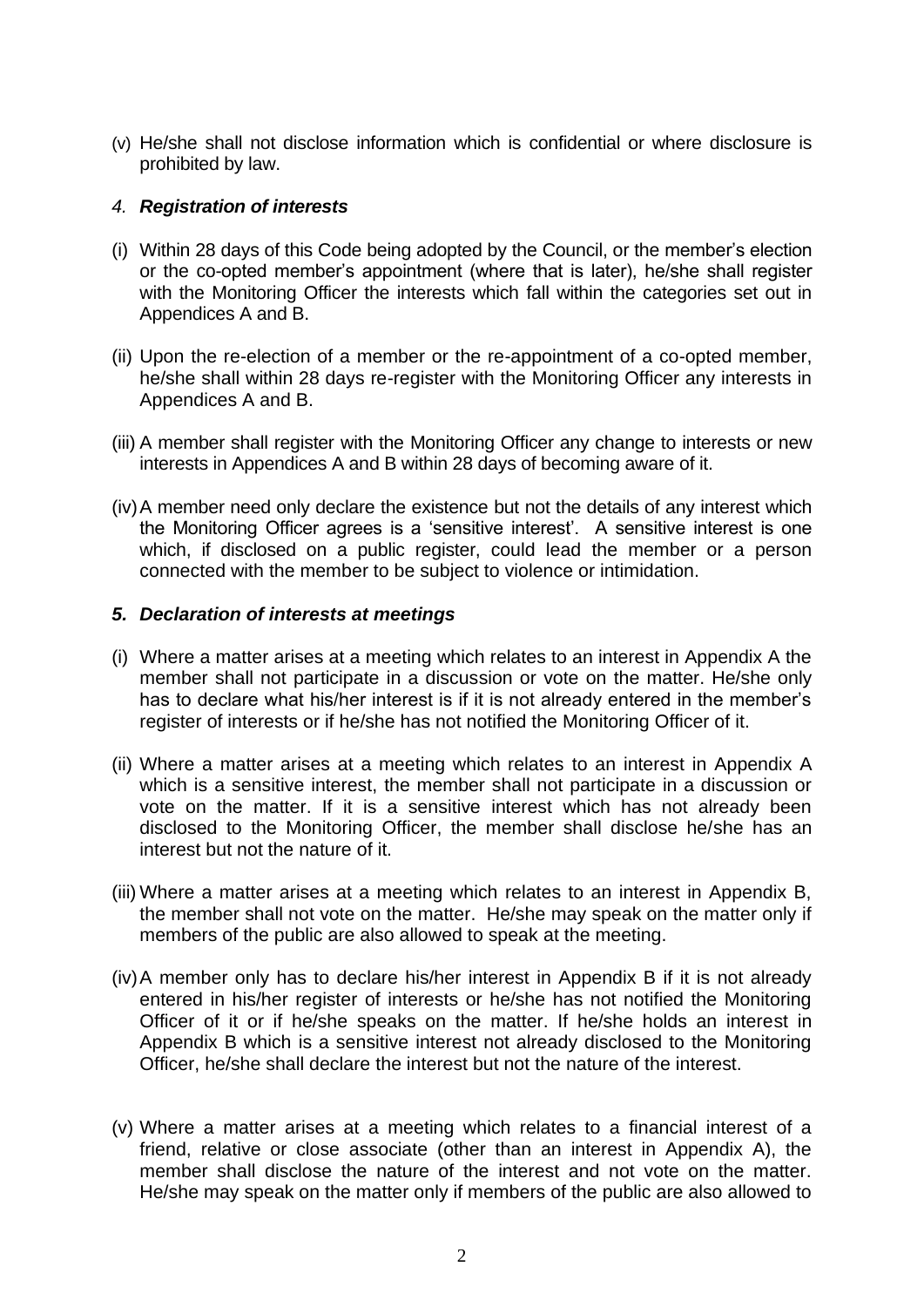(v) He/she shall not disclose information which is confidential or where disclosure is prohibited by law.

#### *4. Registration of interests*

- (i) Within 28 days of this Code being adopted by the Council, or the member's election or the co-opted member's appointment (where that is later), he/she shall register with the Monitoring Officer the interests which fall within the categories set out in Appendices A and B.
- (ii) Upon the re-election of a member or the re-appointment of a co-opted member, he/she shall within 28 days re-register with the Monitoring Officer any interests in Appendices A and B.
- (iii) A member shall register with the Monitoring Officer any change to interests or new interests in Appendices A and B within 28 days of becoming aware of it.
- (iv)A member need only declare the existence but not the details of any interest which the Monitoring Officer agrees is a 'sensitive interest'. A sensitive interest is one which, if disclosed on a public register, could lead the member or a person connected with the member to be subject to violence or intimidation.

#### *5. Declaration of interests at meetings*

- (i) Where a matter arises at a meeting which relates to an interest in Appendix A the member shall not participate in a discussion or vote on the matter. He/she only has to declare what his/her interest is if it is not already entered in the member's register of interests or if he/she has not notified the Monitoring Officer of it.
- (ii) Where a matter arises at a meeting which relates to an interest in Appendix A which is a sensitive interest, the member shall not participate in a discussion or vote on the matter. If it is a sensitive interest which has not already been disclosed to the Monitoring Officer, the member shall disclose he/she has an interest but not the nature of it.
- (iii) Where a matter arises at a meeting which relates to an interest in Appendix B, the member shall not vote on the matter. He/she may speak on the matter only if members of the public are also allowed to speak at the meeting.
- (iv)A member only has to declare his/her interest in Appendix B if it is not already entered in his/her register of interests or he/she has not notified the Monitoring Officer of it or if he/she speaks on the matter. If he/she holds an interest in Appendix B which is a sensitive interest not already disclosed to the Monitoring Officer, he/she shall declare the interest but not the nature of the interest.
- (v) Where a matter arises at a meeting which relates to a financial interest of a friend, relative or close associate (other than an interest in Appendix A), the member shall disclose the nature of the interest and not vote on the matter. He/she may speak on the matter only if members of the public are also allowed to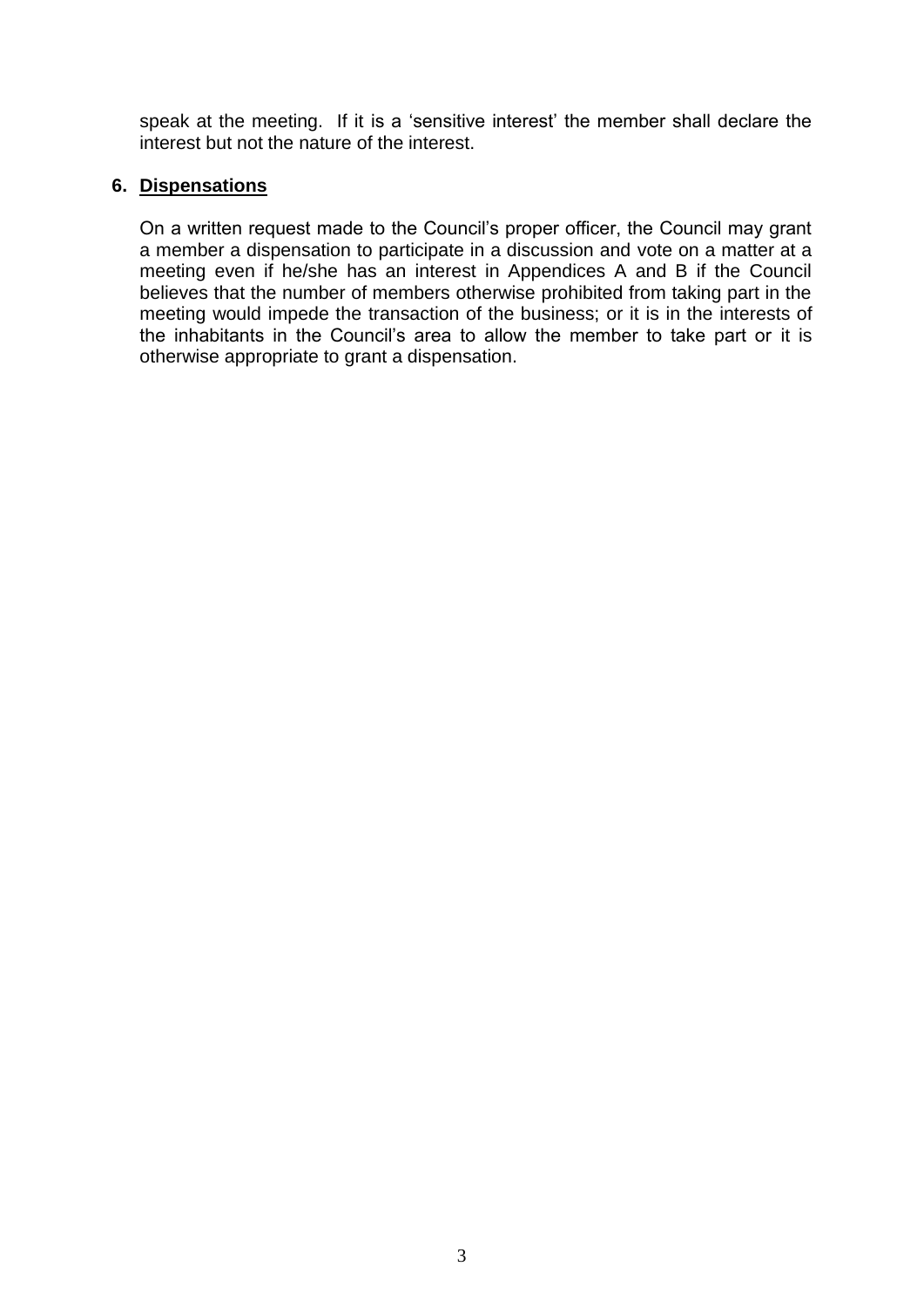speak at the meeting. If it is a 'sensitive interest' the member shall declare the interest but not the nature of the interest.

### **6. Dispensations**

On a written request made to the Council's proper officer, the Council may grant a member a dispensation to participate in a discussion and vote on a matter at a meeting even if he/she has an interest in Appendices A and B if the Council believes that the number of members otherwise prohibited from taking part in the meeting would impede the transaction of the business; or it is in the interests of the inhabitants in the Council's area to allow the member to take part or it is otherwise appropriate to grant a dispensation.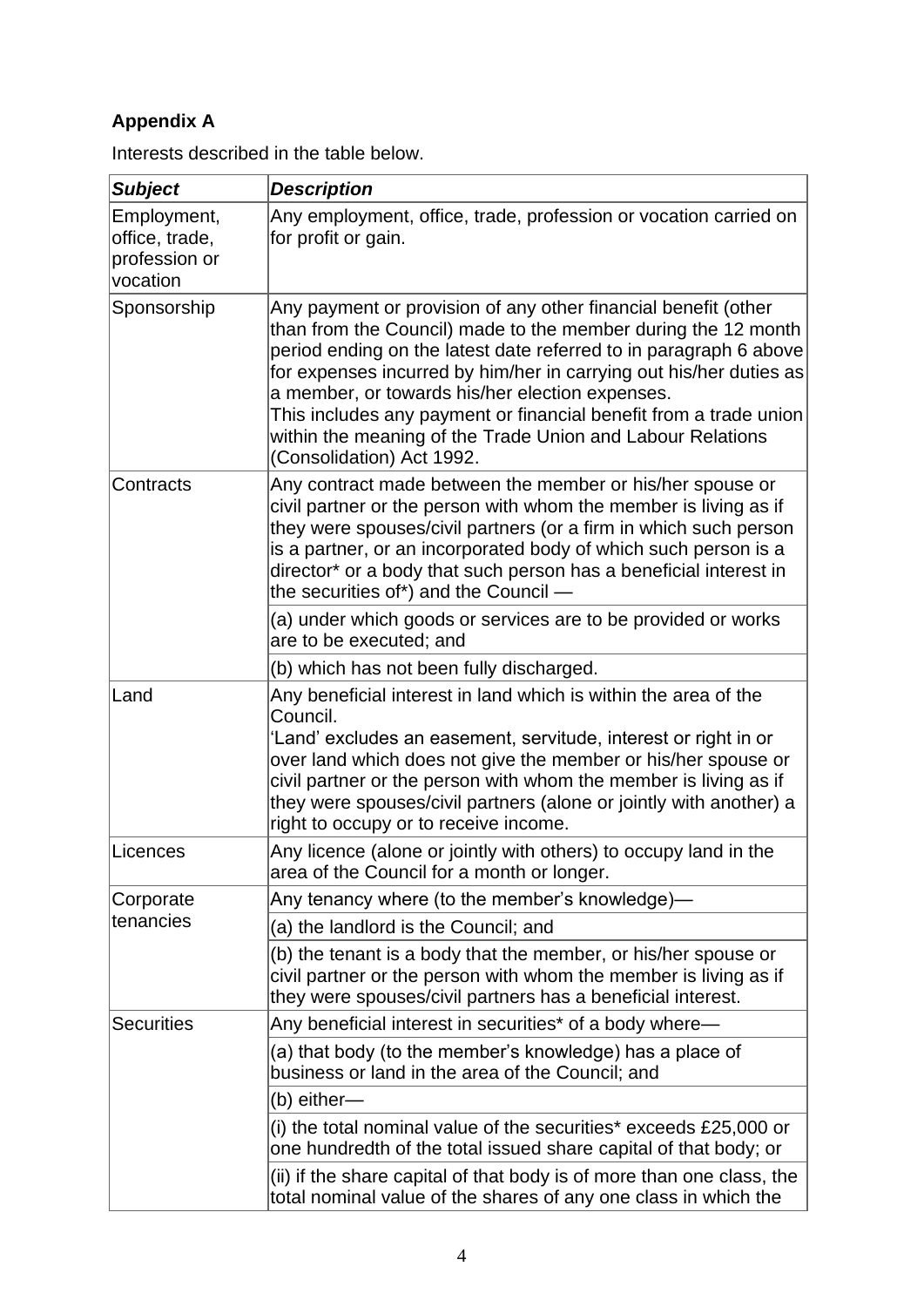# **Appendix A**

Interests described in the table below.

| <b>Subject</b>                                             | <b>Description</b>                                                                                                                                                                                                                                                                                                                                                                                                                                                                            |
|------------------------------------------------------------|-----------------------------------------------------------------------------------------------------------------------------------------------------------------------------------------------------------------------------------------------------------------------------------------------------------------------------------------------------------------------------------------------------------------------------------------------------------------------------------------------|
| Employment,<br>office, trade,<br>profession or<br>vocation | Any employment, office, trade, profession or vocation carried on<br>for profit or gain.                                                                                                                                                                                                                                                                                                                                                                                                       |
| Sponsorship                                                | Any payment or provision of any other financial benefit (other<br>than from the Council) made to the member during the 12 month<br>period ending on the latest date referred to in paragraph 6 above<br>for expenses incurred by him/her in carrying out his/her duties as<br>a member, or towards his/her election expenses.<br>This includes any payment or financial benefit from a trade union<br>within the meaning of the Trade Union and Labour Relations<br>(Consolidation) Act 1992. |
| Contracts                                                  | Any contract made between the member or his/her spouse or<br>civil partner or the person with whom the member is living as if<br>they were spouses/civil partners (or a firm in which such person<br>is a partner, or an incorporated body of which such person is a<br>director* or a body that such person has a beneficial interest in<br>the securities of*) and the Council -                                                                                                            |
|                                                            | (a) under which goods or services are to be provided or works<br>are to be executed; and                                                                                                                                                                                                                                                                                                                                                                                                      |
|                                                            | (b) which has not been fully discharged.                                                                                                                                                                                                                                                                                                                                                                                                                                                      |
| Land                                                       | Any beneficial interest in land which is within the area of the<br>Council.<br>'Land' excludes an easement, servitude, interest or right in or<br>over land which does not give the member or his/her spouse or<br>civil partner or the person with whom the member is living as if<br>they were spouses/civil partners (alone or jointly with another) a<br>right to occupy or to receive income.                                                                                            |
| Licences                                                   | Any licence (alone or jointly with others) to occupy land in the<br>area of the Council for a month or longer.                                                                                                                                                                                                                                                                                                                                                                                |
| Corporate<br>tenancies                                     | Any tenancy where (to the member's knowledge)—                                                                                                                                                                                                                                                                                                                                                                                                                                                |
|                                                            | (a) the landlord is the Council; and                                                                                                                                                                                                                                                                                                                                                                                                                                                          |
|                                                            | (b) the tenant is a body that the member, or his/her spouse or<br>civil partner or the person with whom the member is living as if<br>they were spouses/civil partners has a beneficial interest.                                                                                                                                                                                                                                                                                             |
| <b>Securities</b>                                          | Any beneficial interest in securities* of a body where-                                                                                                                                                                                                                                                                                                                                                                                                                                       |
|                                                            | (a) that body (to the member's knowledge) has a place of<br>business or land in the area of the Council; and                                                                                                                                                                                                                                                                                                                                                                                  |
|                                                            | (b) either-                                                                                                                                                                                                                                                                                                                                                                                                                                                                                   |
|                                                            | (i) the total nominal value of the securities* exceeds £25,000 or<br>one hundredth of the total issued share capital of that body; or                                                                                                                                                                                                                                                                                                                                                         |
|                                                            | (ii) if the share capital of that body is of more than one class, the<br>total nominal value of the shares of any one class in which the                                                                                                                                                                                                                                                                                                                                                      |